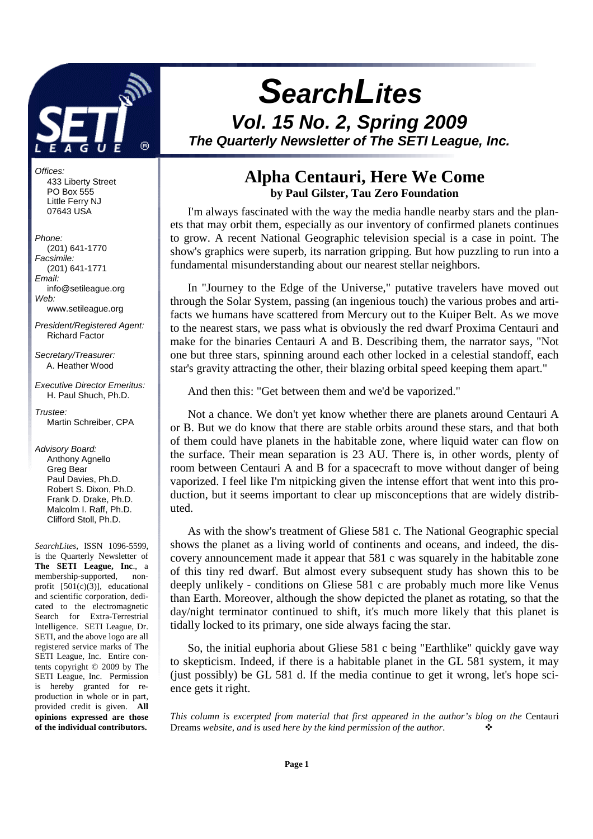

Offices: 433 Liberty Street PO Box 555 Little Ferry NJ 07643 USA

#### Phone:

 (201) 641-1770 Facsimile: (201) 641-1771 Email: info@setileague.org Web: www.setileague.org

President/Registered Agent: Richard Factor

Secretary/Treasurer: A. Heather Wood

Executive Director Emeritus: H. Paul Shuch, Ph.D.

Trustee: Martin Schreiber, CPA

#### Advisory Board:

 Anthony Agnello Greg Bear Paul Davies, Ph.D. Robert S. Dixon, Ph.D. Frank D. Drake, Ph.D. Malcolm I. Raff, Ph.D. Clifford Stoll, Ph.D.

*SearchLites*, ISSN 1096-5599, is the Quarterly Newsletter of **The SETI League, Inc**., a membership-supported, nonprofit [501(c)(3)], educational and scientific corporation, dedicated to the electromagnetic Search for Extra-Terrestrial Intelligence. SETI League, Dr. SETI, and the above logo are all registered service marks of The SETI League, Inc. Entire contents copyright © 2009 by The SETI League, Inc. Permission is hereby granted for reproduction in whole or in part, provided credit is given. **All opinions expressed are those of the individual contributors.** 

# **SearchLites Vol. 15 No. 2, Spring 2009**

**The Quarterly Newsletter of The SETI League, Inc.** 

# **Alpha Centauri, Here We Come by Paul Gilster, Tau Zero Foundation**

I'm always fascinated with the way the media handle nearby stars and the planets that may orbit them, especially as our inventory of confirmed planets continues to grow. A recent National Geographic television special is a case in point. The show's graphics were superb, its narration gripping. But how puzzling to run into a fundamental misunderstanding about our nearest stellar neighbors.

In "Journey to the Edge of the Universe," putative travelers have moved out through the Solar System, passing (an ingenious touch) the various probes and artifacts we humans have scattered from Mercury out to the Kuiper Belt. As we move to the nearest stars, we pass what is obviously the red dwarf Proxima Centauri and make for the binaries Centauri A and B. Describing them, the narrator says, "Not one but three stars, spinning around each other locked in a celestial standoff, each star's gravity attracting the other, their blazing orbital speed keeping them apart."

And then this: "Get between them and we'd be vaporized."

Not a chance. We don't yet know whether there are planets around Centauri A or B. But we do know that there are stable orbits around these stars, and that both of them could have planets in the habitable zone, where liquid water can flow on the surface. Their mean separation is 23 AU. There is, in other words, plenty of room between Centauri A and B for a spacecraft to move without danger of being vaporized. I feel like I'm nitpicking given the intense effort that went into this production, but it seems important to clear up misconceptions that are widely distributed.

As with the show's treatment of Gliese 581 c. The National Geographic special shows the planet as a living world of continents and oceans, and indeed, the discovery announcement made it appear that 581 c was squarely in the habitable zone of this tiny red dwarf. But almost every subsequent study has shown this to be deeply unlikely - conditions on Gliese 581 c are probably much more like Venus than Earth. Moreover, although the show depicted the planet as rotating, so that the day/night terminator continued to shift, it's much more likely that this planet is tidally locked to its primary, one side always facing the star.

So, the initial euphoria about Gliese 581 c being "Earthlike" quickly gave way to skepticism. Indeed, if there is a habitable planet in the GL 581 system, it may (just possibly) be GL 581 d. If the media continue to get it wrong, let's hope science gets it right.

*This column is excerpted from material that first appeared in the author's blog on the* Centauri Dreams *website, and is used here by the kind permission of the author.*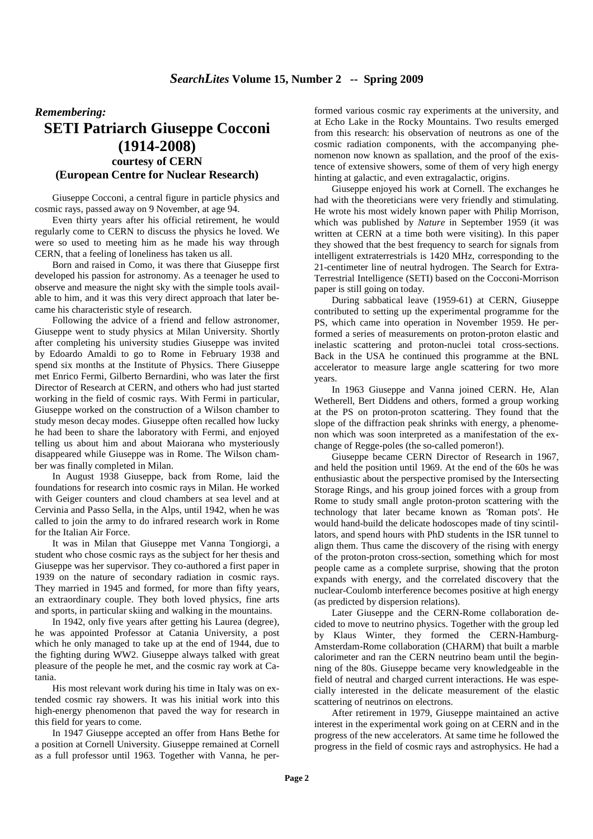## *Remembering:*  **SETI Patriarch Giuseppe Cocconi (1914-2008) courtesy of CERN (European Centre for Nuclear Research)**

Giuseppe Cocconi, a central figure in particle physics and cosmic rays, passed away on 9 November, at age 94.

Even thirty years after his official retirement, he would regularly come to CERN to discuss the physics he loved. We were so used to meeting him as he made his way through CERN, that a feeling of loneliness has taken us all.

Born and raised in Como, it was there that Giuseppe first developed his passion for astronomy. As a teenager he used to observe and measure the night sky with the simple tools available to him, and it was this very direct approach that later became his characteristic style of research.

Following the advice of a friend and fellow astronomer, Giuseppe went to study physics at Milan University. Shortly after completing his university studies Giuseppe was invited by Edoardo Amaldi to go to Rome in February 1938 and spend six months at the Institute of Physics. There Giuseppe met Enrico Fermi, Gilberto Bernardini, who was later the first Director of Research at CERN, and others who had just started working in the field of cosmic rays. With Fermi in particular, Giuseppe worked on the construction of a Wilson chamber to study meson decay modes. Giuseppe often recalled how lucky he had been to share the laboratory with Fermi, and enjoyed telling us about him and about Maiorana who mysteriously disappeared while Giuseppe was in Rome. The Wilson chamber was finally completed in Milan.

In August 1938 Giuseppe, back from Rome, laid the foundations for research into cosmic rays in Milan. He worked with Geiger counters and cloud chambers at sea level and at Cervinia and Passo Sella, in the Alps, until 1942, when he was called to join the army to do infrared research work in Rome for the Italian Air Force.

It was in Milan that Giuseppe met Vanna Tongiorgi, a student who chose cosmic rays as the subject for her thesis and Giuseppe was her supervisor. They co-authored a first paper in 1939 on the nature of secondary radiation in cosmic rays. They married in 1945 and formed, for more than fifty years, an extraordinary couple. They both loved physics, fine arts and sports, in particular skiing and walking in the mountains.

In 1942, only five years after getting his Laurea (degree), he was appointed Professor at Catania University, a post which he only managed to take up at the end of 1944, due to the fighting during WW2. Giuseppe always talked with great pleasure of the people he met, and the cosmic ray work at Catania.

His most relevant work during his time in Italy was on extended cosmic ray showers. It was his initial work into this high-energy phenomenon that paved the way for research in this field for years to come.

In 1947 Giuseppe accepted an offer from Hans Bethe for a position at Cornell University. Giuseppe remained at Cornell as a full professor until 1963. Together with Vanna, he per-

formed various cosmic ray experiments at the university, and at Echo Lake in the Rocky Mountains. Two results emerged from this research: his observation of neutrons as one of the cosmic radiation components, with the accompanying phenomenon now known as spallation, and the proof of the existence of extensive showers, some of them of very high energy hinting at galactic, and even extragalactic, origins.

Giuseppe enjoyed his work at Cornell. The exchanges he had with the theoreticians were very friendly and stimulating. He wrote his most widely known paper with Philip Morrison, which was published by *Nature* in September 1959 (it was written at CERN at a time both were visiting). In this paper they showed that the best frequency to search for signals from intelligent extraterrestrials is 1420 MHz, corresponding to the 21-centimeter line of neutral hydrogen. The Search for Extra-Terrestrial Intelligence (SETI) based on the Cocconi-Morrison paper is still going on today.

During sabbatical leave (1959-61) at CERN, Giuseppe contributed to setting up the experimental programme for the PS, which came into operation in November 1959. He performed a series of measurements on proton-proton elastic and inelastic scattering and proton-nuclei total cross-sections. Back in the USA he continued this programme at the BNL accelerator to measure large angle scattering for two more years.

In 1963 Giuseppe and Vanna joined CERN. He, Alan Wetherell, Bert Diddens and others, formed a group working at the PS on proton-proton scattering. They found that the slope of the diffraction peak shrinks with energy, a phenomenon which was soon interpreted as a manifestation of the exchange of Regge-poles (the so-called pomeron!).

Giuseppe became CERN Director of Research in 1967, and held the position until 1969. At the end of the 60s he was enthusiastic about the perspective promised by the Intersecting Storage Rings, and his group joined forces with a group from Rome to study small angle proton-proton scattering with the technology that later became known as 'Roman pots'. He would hand-build the delicate hodoscopes made of tiny scintillators, and spend hours with PhD students in the ISR tunnel to align them. Thus came the discovery of the rising with energy of the proton-proton cross-section, something which for most people came as a complete surprise, showing that the proton expands with energy, and the correlated discovery that the nuclear-Coulomb interference becomes positive at high energy (as predicted by dispersion relations).

Later Giuseppe and the CERN-Rome collaboration decided to move to neutrino physics. Together with the group led by Klaus Winter, they formed the CERN-Hamburg-Amsterdam-Rome collaboration (CHARM) that built a marble calorimeter and ran the CERN neutrino beam until the beginning of the 80s. Giuseppe became very knowledgeable in the field of neutral and charged current interactions. He was especially interested in the delicate measurement of the elastic scattering of neutrinos on electrons.

After retirement in 1979, Giuseppe maintained an active interest in the experimental work going on at CERN and in the progress of the new accelerators. At same time he followed the progress in the field of cosmic rays and astrophysics. He had a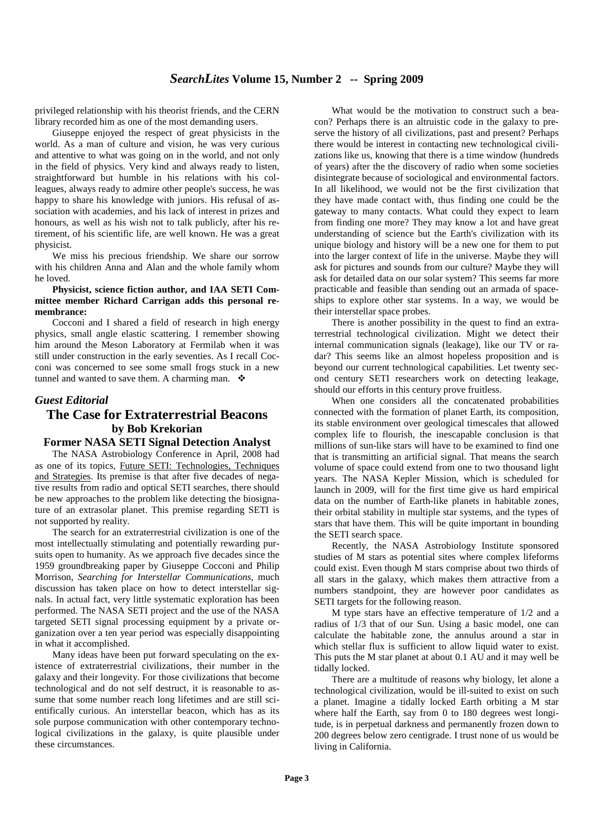privileged relationship with his theorist friends, and the CERN library recorded him as one of the most demanding users.

Giuseppe enjoyed the respect of great physicists in the world. As a man of culture and vision, he was very curious and attentive to what was going on in the world, and not only in the field of physics. Very kind and always ready to listen, straightforward but humble in his relations with his colleagues, always ready to admire other people's success, he was happy to share his knowledge with juniors. His refusal of association with academies, and his lack of interest in prizes and honours, as well as his wish not to talk publicly, after his retirement, of his scientific life, are well known. He was a great physicist.

We miss his precious friendship. We share our sorrow with his children Anna and Alan and the whole family whom he loved.

#### **Physicist, science fiction author, and IAA SETI Committee member Richard Carrigan adds this personal remembrance:**

Cocconi and I shared a field of research in high energy physics, small angle elastic scattering. I remember showing him around the Meson Laboratory at Fermilab when it was still under construction in the early seventies. As I recall Cocconi was concerned to see some small frogs stuck in a new tunnel and wanted to save them. A charming man.  $\cdot$ 

### *Guest Editorial*

### **The Case for Extraterrestrial Beacons by Bob Krekorian**

### **Former NASA SETI Signal Detection Analyst**

The NASA Astrobiology Conference in April, 2008 had as one of its topics, Future SETI: Technologies, Techniques and Strategies. Its premise is that after five decades of negative results from radio and optical SETI searches, there should be new approaches to the problem like detecting the biosignature of an extrasolar planet. This premise regarding SETI is not supported by reality.

The search for an extraterrestrial civilization is one of the most intellectually stimulating and potentially rewarding pursuits open to humanity. As we approach five decades since the 1959 groundbreaking paper by Giuseppe Cocconi and Philip Morrison, *Searching for Interstellar Communications*, much discussion has taken place on how to detect interstellar signals. In actual fact, very little systematic exploration has been performed. The NASA SETI project and the use of the NASA targeted SETI signal processing equipment by a private organization over a ten year period was especially disappointing in what it accomplished.

Many ideas have been put forward speculating on the existence of extraterrestrial civilizations, their number in the galaxy and their longevity. For those civilizations that become technological and do not self destruct, it is reasonable to assume that some number reach long lifetimes and are still scientifically curious. An interstellar beacon, which has as its sole purpose communication with other contemporary technological civilizations in the galaxy, is quite plausible under these circumstances.

What would be the motivation to construct such a beacon? Perhaps there is an altruistic code in the galaxy to preserve the history of all civilizations, past and present? Perhaps there would be interest in contacting new technological civilizations like us, knowing that there is a time window (hundreds of years) after the the discovery of radio when some societies disintegrate because of sociological and environmental factors. In all likelihood, we would not be the first civilization that they have made contact with, thus finding one could be the gateway to many contacts. What could they expect to learn from finding one more? They may know a lot and have great understanding of science but the Earth's civilization with its unique biology and history will be a new one for them to put into the larger context of life in the universe. Maybe they will ask for pictures and sounds from our culture? Maybe they will ask for detailed data on our solar system? This seems far more practicable and feasible than sending out an armada of spaceships to explore other star systems. In a way, we would be their interstellar space probes.

There is another possibility in the quest to find an extraterrestrial technological civilization. Might we detect their internal communication signals (leakage), like our TV or radar? This seems like an almost hopeless proposition and is beyond our current technological capabilities. Let twenty second century SETI researchers work on detecting leakage, should our efforts in this century prove fruitless.

When one considers all the concatenated probabilities connected with the formation of planet Earth, its composition, its stable environment over geological timescales that allowed complex life to flourish, the inescapable conclusion is that millions of sun-like stars will have to be examined to find one that is transmitting an artificial signal. That means the search volume of space could extend from one to two thousand light years. The NASA Kepler Mission, which is scheduled for launch in 2009, will for the first time give us hard empirical data on the number of Earth-like planets in habitable zones, their orbital stability in multiple star systems, and the types of stars that have them. This will be quite important in bounding the SETI search space.

Recently, the NASA Astrobiology Institute sponsored studies of M stars as potential sites where complex lifeforms could exist. Even though M stars comprise about two thirds of all stars in the galaxy, which makes them attractive from a numbers standpoint, they are however poor candidates as SETI targets for the following reason.

M type stars have an effective temperature of 1/2 and a radius of 1/3 that of our Sun. Using a basic model, one can calculate the habitable zone, the annulus around a star in which stellar flux is sufficient to allow liquid water to exist. This puts the M star planet at about 0.1 AU and it may well be tidally locked.

There are a multitude of reasons why biology, let alone a technological civilization, would be ill-suited to exist on such a planet. Imagine a tidally locked Earth orbiting a M star where half the Earth, say from 0 to 180 degrees west longitude, is in perpetual darkness and permanently frozen down to 200 degrees below zero centigrade. I trust none of us would be living in California.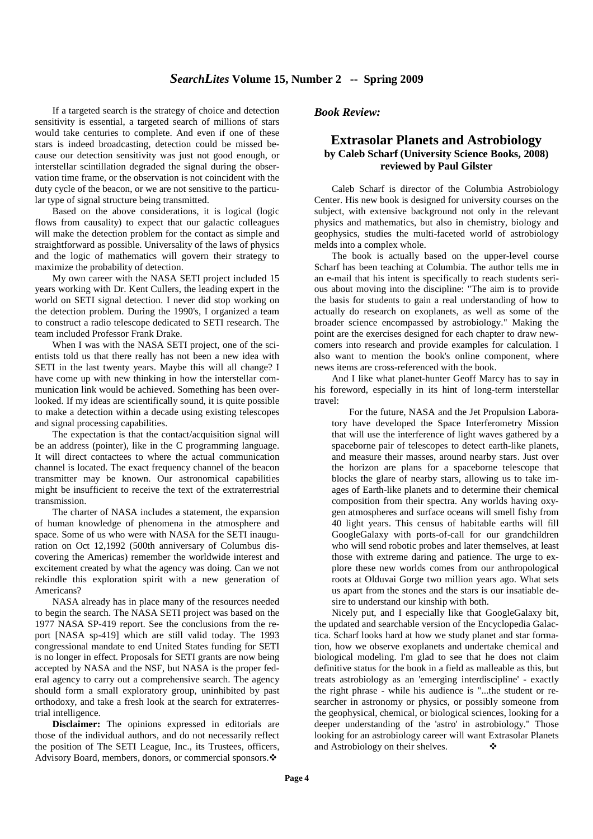If a targeted search is the strategy of choice and detection sensitivity is essential, a targeted search of millions of stars would take centuries to complete. And even if one of these stars is indeed broadcasting, detection could be missed because our detection sensitivity was just not good enough, or interstellar scintillation degraded the signal during the observation time frame, or the observation is not coincident with the duty cycle of the beacon, or we are not sensitive to the particular type of signal structure being transmitted.

Based on the above considerations, it is logical (logic flows from causality) to expect that our galactic colleagues will make the detection problem for the contact as simple and straightforward as possible. Universality of the laws of physics and the logic of mathematics will govern their strategy to maximize the probability of detection.

My own career with the NASA SETI project included 15 years working with Dr. Kent Cullers, the leading expert in the world on SETI signal detection. I never did stop working on the detection problem. During the 1990's, I organized a team to construct a radio telescope dedicated to SETI research. The team included Professor Frank Drake.

When I was with the NASA SETI project, one of the scientists told us that there really has not been a new idea with SETI in the last twenty years. Maybe this will all change? I have come up with new thinking in how the interstellar communication link would be achieved. Something has been overlooked. If my ideas are scientifically sound, it is quite possible to make a detection within a decade using existing telescopes and signal processing capabilities.

The expectation is that the contact/acquisition signal will be an address (pointer), like in the C programming language. It will direct contactees to where the actual communication channel is located. The exact frequency channel of the beacon transmitter may be known. Our astronomical capabilities might be insufficient to receive the text of the extraterrestrial transmission.

The charter of NASA includes a statement, the expansion of human knowledge of phenomena in the atmosphere and space. Some of us who were with NASA for the SETI inauguration on Oct 12,1992 (500th anniversary of Columbus discovering the Americas) remember the worldwide interest and excitement created by what the agency was doing. Can we not rekindle this exploration spirit with a new generation of Americans?

NASA already has in place many of the resources needed to begin the search. The NASA SETI project was based on the 1977 NASA SP-419 report. See the conclusions from the report [NASA sp-419] which are still valid today. The 1993 congressional mandate to end United States funding for SETI is no longer in effect. Proposals for SETI grants are now being accepted by NASA and the NSF, but NASA is the proper federal agency to carry out a comprehensive search. The agency should form a small exploratory group, uninhibited by past orthodoxy, and take a fresh look at the search for extraterrestrial intelligence.

**Disclaimer:** The opinions expressed in editorials are those of the individual authors, and do not necessarily reflect the position of The SETI League, Inc., its Trustees, officers, Advisory Board, members, donors, or commercial sponsors.

#### *Book Review:*

### **Extrasolar Planets and Astrobiology by Caleb Scharf (University Science Books, 2008) reviewed by Paul Gilster**

Caleb Scharf is director of the Columbia Astrobiology Center. His new book is designed for university courses on the subject, with extensive background not only in the relevant physics and mathematics, but also in chemistry, biology and geophysics, studies the multi-faceted world of astrobiology melds into a complex whole.

The book is actually based on the upper-level course Scharf has been teaching at Columbia. The author tells me in an e-mail that his intent is specifically to reach students serious about moving into the discipline: "The aim is to provide the basis for students to gain a real understanding of how to actually do research on exoplanets, as well as some of the broader science encompassed by astrobiology." Making the point are the exercises designed for each chapter to draw newcomers into research and provide examples for calculation. I also want to mention the book's online component, where news items are cross-referenced with the book.

And I like what planet-hunter Geoff Marcy has to say in his foreword, especially in its hint of long-term interstellar travel:

For the future, NASA and the Jet Propulsion Laboratory have developed the Space Interferometry Mission that will use the interference of light waves gathered by a spaceborne pair of telescopes to detect earth-like planets, and measure their masses, around nearby stars. Just over the horizon are plans for a spaceborne telescope that blocks the glare of nearby stars, allowing us to take images of Earth-like planets and to determine their chemical composition from their spectra. Any worlds having oxygen atmospheres and surface oceans will smell fishy from 40 light years. This census of habitable earths will fill GoogleGalaxy with ports-of-call for our grandchildren who will send robotic probes and later themselves, at least those with extreme daring and patience. The urge to explore these new worlds comes from our anthropological roots at Olduvai Gorge two million years ago. What sets us apart from the stones and the stars is our insatiable desire to understand our kinship with both.

Nicely put, and I especially like that GoogleGalaxy bit, the updated and searchable version of the Encyclopedia Galactica. Scharf looks hard at how we study planet and star formation, how we observe exoplanets and undertake chemical and biological modeling. I'm glad to see that he does not claim definitive status for the book in a field as malleable as this, but treats astrobiology as an 'emerging interdiscipline' - exactly the right phrase - while his audience is "...the student or researcher in astronomy or physics, or possibly someone from the geophysical, chemical, or biological sciences, looking for a deeper understanding of the 'astro' in astrobiology." Those looking for an astrobiology career will want Extrasolar Planets and Astrobiology on their shelves. ❖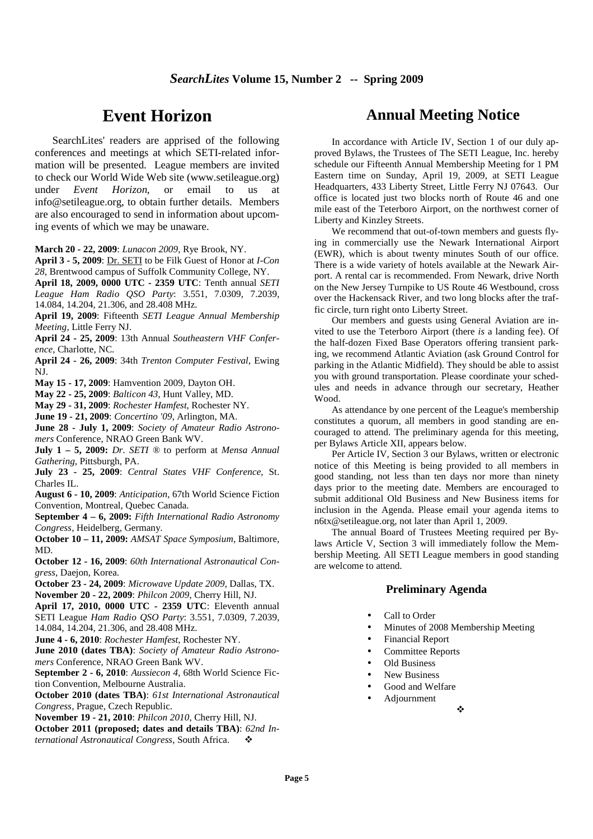# **Event Horizon**

SearchLites' readers are apprised of the following conferences and meetings at which SETI-related information will be presented. League members are invited to check our World Wide Web site (www.setileague.org) under *Event Horizon*, or email to us at info@setileague.org, to obtain further details. Members are also encouraged to send in information about upcoming events of which we may be unaware.

**March 20 - 22, 2009**: *Lunacon 2009*, Rye Brook, NY.

**April 3 - 5, 2009**: Dr. SETI to be Filk Guest of Honor at *I-Con 28*, Brentwood campus of Suffolk Community College, NY.

**April 18, 2009, 0000 UTC - 2359 UTC**: Tenth annual *SETI League Ham Radio QSO Party*: 3.551, 7.0309, 7.2039, 14.084, 14.204, 21.306, and 28.408 MHz.

**April 19, 2009**: Fifteenth *SETI League Annual Membership Meeting*, Little Ferry NJ.

**April 24 - 25, 2009**: 13th Annual *Southeastern VHF Conference*, Charlotte, NC.

**April 24 - 26, 2009**: 34th *Trenton Computer Festival*, Ewing NJ.

**May 15 - 17, 2009**: Hamvention 2009, Dayton OH.

**May 22 - 25, 2009**: *Balticon 43*, Hunt Valley, MD.

**May 29 - 31, 2009**: *Rochester Hamfest*, Rochester NY.

**June 19 - 21, 2009**: *Concertino '09*, Arlington, MA.

**June 28 - July 1, 2009**: *Society of Amateur Radio Astronomers* Conference, NRAO Green Bank WV.

**July 1 – 5, 2009:** *Dr. SETI ®* to perform at *Mensa Annual Gathering*, Pittsburgh, PA.

**July 23 - 25, 2009**: *Central States VHF Conference*, St. Charles IL.

**August 6 - 10, 2009**: *Anticipation*, 67th World Science Fiction Convention, Montreal, Quebec Canada.

**September 4 – 6, 2009:** *Fifth International Radio Astronomy Congress,* Heidelberg, Germany.

**October 10 – 11, 2009:** *AMSAT Space Symposium*, Baltimore, MD.

**October 12 - 16, 2009**: *60th International Astronautical Congress*, Daejon, Korea.

**October 23 - 24, 2009**: *Microwave Update 2009*, Dallas, TX. **November 20 - 22, 2009**: *Philcon 2009*, Cherry Hill, NJ.

**April 17, 2010, 0000 UTC - 2359 UTC**: Eleventh annual SETI League *Ham Radio QSO Party*: 3.551, 7.0309, 7.2039, 14.084, 14.204, 21.306, and 28.408 MHz.

**June 4 - 6, 2010**: *Rochester Hamfest*, Rochester NY.

**June 2010 (dates TBA)**: *Society of Amateur Radio Astronomers* Conference, NRAO Green Bank WV.

**September 2 - 6, 2010**: *Aussiecon 4*, 68th World Science Fiction Convention, Melbourne Australia.

**October 2010 (dates TBA)**: *61st International Astronautical Congress*, Prague, Czech Republic.

**November 19 - 21, 2010**: *Philcon 2010*, Cherry Hill, NJ.

**October 2011 (proposed; dates and details TBA)**: *62nd International Astronautical Congress*, South Africa.

# **Annual Meeting Notice**

In accordance with Article IV, Section 1 of our duly approved Bylaws, the Trustees of The SETI League, Inc. hereby schedule our Fifteenth Annual Membership Meeting for 1 PM Eastern time on Sunday, April 19, 2009, at SETI League Headquarters, 433 Liberty Street, Little Ferry NJ 07643. Our office is located just two blocks north of Route 46 and one mile east of the Teterboro Airport, on the northwest corner of Liberty and Kinzley Streets.

We recommend that out-of-town members and guests flying in commercially use the Newark International Airport (EWR), which is about twenty minutes South of our office. There is a wide variety of hotels available at the Newark Airport. A rental car is recommended. From Newark, drive North on the New Jersey Turnpike to US Route 46 Westbound, cross over the Hackensack River, and two long blocks after the traffic circle, turn right onto Liberty Street.

Our members and guests using General Aviation are invited to use the Teterboro Airport (there *is* a landing fee). Of the half-dozen Fixed Base Operators offering transient parking, we recommend Atlantic Aviation (ask Ground Control for parking in the Atlantic Midfield). They should be able to assist you with ground transportation. Please coordinate your schedules and needs in advance through our secretary, Heather Wood.

As attendance by one percent of the League's membership constitutes a quorum, all members in good standing are encouraged to attend. The preliminary agenda for this meeting, per Bylaws Article XII, appears below.

Per Article IV, Section 3 our Bylaws, written or electronic notice of this Meeting is being provided to all members in good standing, not less than ten days nor more than ninety days prior to the meeting date. Members are encouraged to submit additional Old Business and New Business items for inclusion in the Agenda. Please email your agenda items to n6tx@setileague.org, not later than April 1, 2009.

The annual Board of Trustees Meeting required per Bylaws Article V, Section 3 will immediately follow the Membership Meeting. All SETI League members in good standing are welcome to attend.

### **Preliminary Agenda**

- Call to Order
- Minutes of 2008 Membership Meeting
- Financial Report
- Committee Reports
- Old Business
- New Business
- Good and Welfare
- Adjournment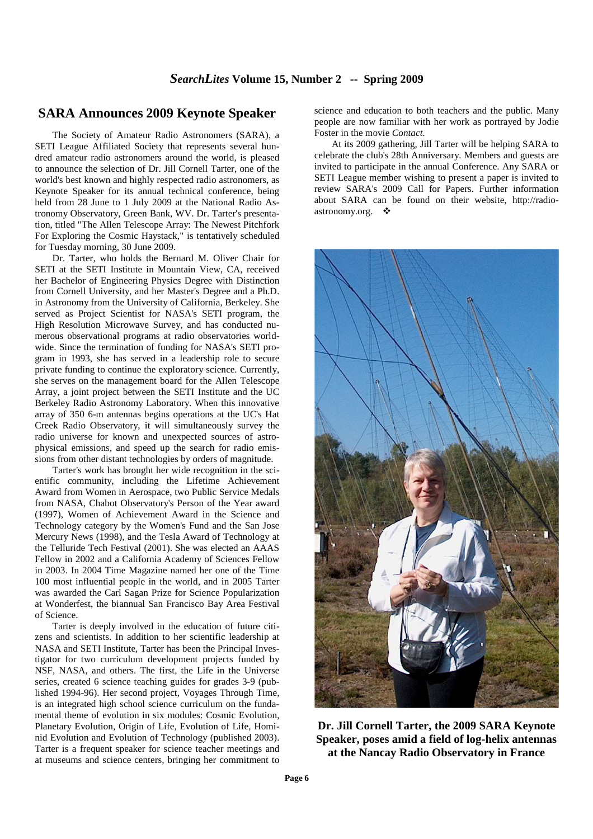### **SARA Announces 2009 Keynote Speaker**

The Society of Amateur Radio Astronomers (SARA), a SETI League Affiliated Society that represents several hundred amateur radio astronomers around the world, is pleased to announce the selection of Dr. Jill Cornell Tarter, one of the world's best known and highly respected radio astronomers, as Keynote Speaker for its annual technical conference, being held from 28 June to 1 July 2009 at the National Radio Astronomy Observatory, Green Bank, WV. Dr. Tarter's presentation, titled "The Allen Telescope Array: The Newest Pitchfork For Exploring the Cosmic Haystack," is tentatively scheduled for Tuesday morning, 30 June 2009.

Dr. Tarter, who holds the Bernard M. Oliver Chair for SETI at the SETI Institute in Mountain View, CA, received her Bachelor of Engineering Physics Degree with Distinction from Cornell University, and her Master's Degree and a Ph.D. in Astronomy from the University of California, Berkeley. She served as Project Scientist for NASA's SETI program, the High Resolution Microwave Survey, and has conducted numerous observational programs at radio observatories worldwide. Since the termination of funding for NASA's SETI program in 1993, she has served in a leadership role to secure private funding to continue the exploratory science. Currently, she serves on the management board for the Allen Telescope Array, a joint project between the SETI Institute and the UC Berkeley Radio Astronomy Laboratory. When this innovative array of 350 6-m antennas begins operations at the UC's Hat Creek Radio Observatory, it will simultaneously survey the radio universe for known and unexpected sources of astrophysical emissions, and speed up the search for radio emissions from other distant technologies by orders of magnitude.

Tarter's work has brought her wide recognition in the scientific community, including the Lifetime Achievement Award from Women in Aerospace, two Public Service Medals from NASA, Chabot Observatory's Person of the Year award (1997), Women of Achievement Award in the Science and Technology category by the Women's Fund and the San Jose Mercury News (1998), and the Tesla Award of Technology at the Telluride Tech Festival (2001). She was elected an AAAS Fellow in 2002 and a California Academy of Sciences Fellow in 2003. In 2004 Time Magazine named her one of the Time 100 most influential people in the world, and in 2005 Tarter was awarded the Carl Sagan Prize for Science Popularization at Wonderfest, the biannual San Francisco Bay Area Festival of Science.

Tarter is deeply involved in the education of future citizens and scientists. In addition to her scientific leadership at NASA and SETI Institute, Tarter has been the Principal Investigator for two curriculum development projects funded by NSF, NASA, and others. The first, the Life in the Universe series, created 6 science teaching guides for grades 3-9 (published 1994-96). Her second project, Voyages Through Time, is an integrated high school science curriculum on the fundamental theme of evolution in six modules: Cosmic Evolution, Planetary Evolution, Origin of Life, Evolution of Life, Hominid Evolution and Evolution of Technology (published 2003). Tarter is a frequent speaker for science teacher meetings and at museums and science centers, bringing her commitment to science and education to both teachers and the public. Many people are now familiar with her work as portrayed by Jodie Foster in the movie *Contact*.

At its 2009 gathering, Jill Tarter will be helping SARA to celebrate the club's 28th Anniversary. Members and guests are invited to participate in the annual Conference. Any SARA or SETI League member wishing to present a paper is invited to review SARA's 2009 Call for Papers. Further information about SARA can be found on their website, http://radioastronomy.org.  $\bullet$ 



**Dr. Jill Cornell Tarter, the 2009 SARA Keynote Speaker, poses amid a field of log-helix antennas at the Nancay Radio Observatory in France**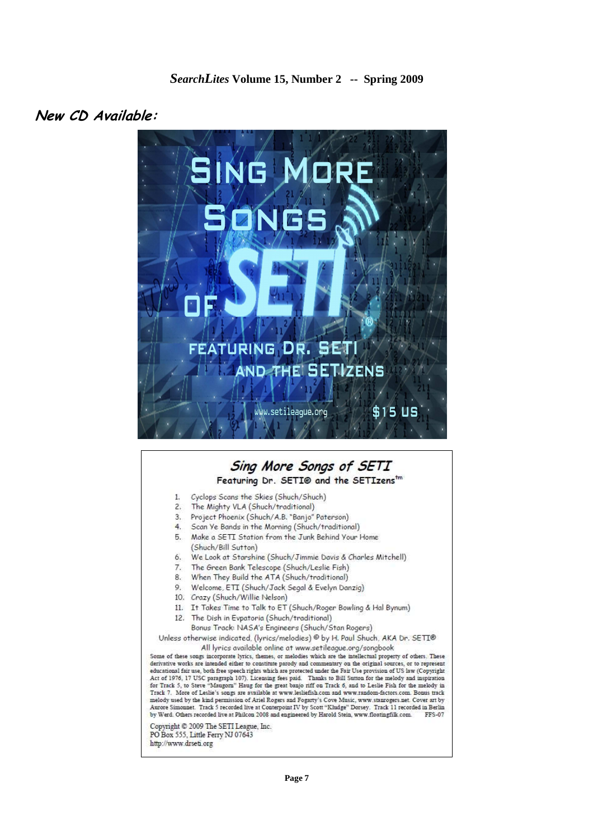## **New CD Available:**



#### Sing More Songs of SETI Featuring Dr. SETI@ and the SETIzens<sup>tm</sup> 1. Cyclops Scans the Skies (Shuch/Shuch) 2. The Mighty VLA (Shuch/traditional) 3. Project Phoenix (Shuch/A.B. "Banjo" Paterson) 4. Scan Ye Bands in the Morning (Shuch/traditional) 5. Make a SETI Station from the Junk Behind Your Home (Shuch/Bill Sutton) 6. We Look at Starshine (Shuch/Jimmie Davis & Charles Mitchell) 7. The Green Bank Telescope (Shuch/Leslie Fish) 8. When They Build the ATA (Shuch/traditional) 9. Welcome, ETI (Shuch/Jack Segal & Evelyn Danzig)<br>10. Crazy (Shuch/Willie Nelson) 11. It Takes Time to Talk to ET (Shuch/Roger Bowling & Hal Bynum) 12. The Dish in Evpatoria (Shuch/traditional) Bonus Track: NASA's Engineers (Shuch/Stan Rogers) Unless otherwise indicated, (lyrics/melodies) @ by H. Paul Shuch, AKA Dr. SETI® All lyrics available online at www.setileague.org/songbook Some of these songs incorporate lyrics, themes, or melodies which are the intellectual property of others. These<br>derivative works are intended either to constitute parody and commentary on the original sources, or to repre educational fair use, both free speech rights which are protected under the Fair Use provision of US law (Copyright Act of 1976, 17 USC paragraph 107). Licensing fees paid. Thanks to Bill Sutton for the melody and inspiration<br>for Track 5, to Steve "Maugorn" Haug for the great banjo riff on Track 6, and to Leslie Fish for the melody in Track 7. More of Leslie's songs are available at www.lesliefish.com and www.random-factors.com. Bonus track and the start of the kind permission of Ariel Rogers and Fogarty's Cove Music, www.stanrogers.net. Cover art by<br>Aurore Simonnet. Track 5 recorded live at Conterpoint IV by Scott "Kludge" Dorsey. Track 11 recorded in Berlin by Werd. Others recorded live at Philcon 2008 and engineered by Harold Stein, www.floatingfilk.com. FFS-07 Copyright © 2009 The SETI League, Inc. PO Box 555, Little Ferry NJ 07643 http://www.drseti.org